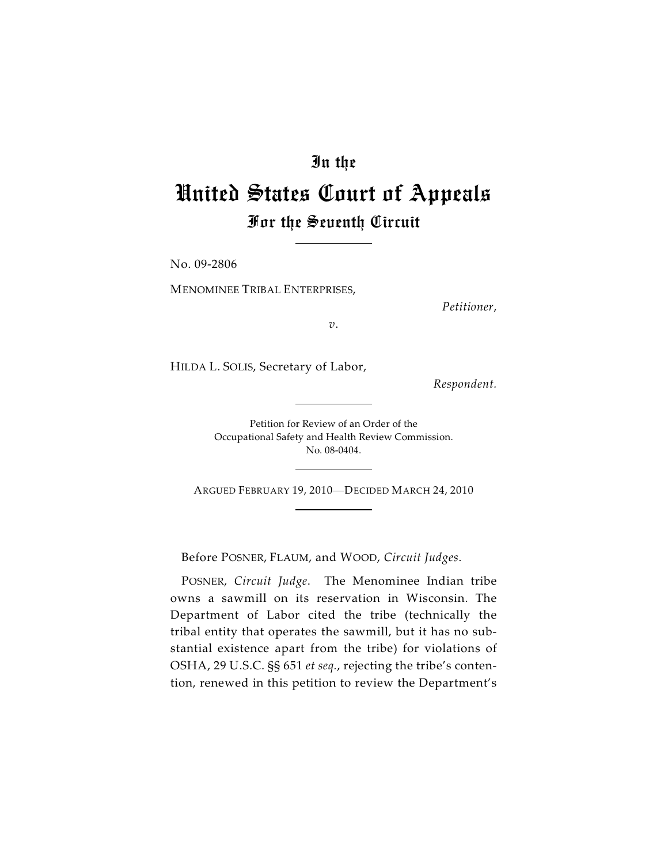## In the

## United States Court of Appeals For the Seventh Circuit

No. 09-2806

MENOMINEE TRIBAL ENTERPRISES,

*Petitioner*,

*v*.

HILDA L. SOLIS, Secretary of Labor,

*Respondent.*

Petition for Review of an Order of the Occupational Safety and Health Review Commission. No. 08-0404.

ARGUED FEBRUARY 19, 2010—DECIDED MARCH 24, 2010

Before POSNER, FLAUM, and WOOD, *Circuit Judges*.

POSNER, *Circuit Judge*. The Menominee Indian tribe owns a sawmill on its reservation in Wisconsin. The Department of Labor cited the tribe (technically the tribal entity that operates the sawmill, but it has no substantial existence apart from the tribe) for violations of OSHA, 29 U.S.C. §§ 651 *et seq.*, rejecting the tribe's contention, renewed in this petition to review the Department's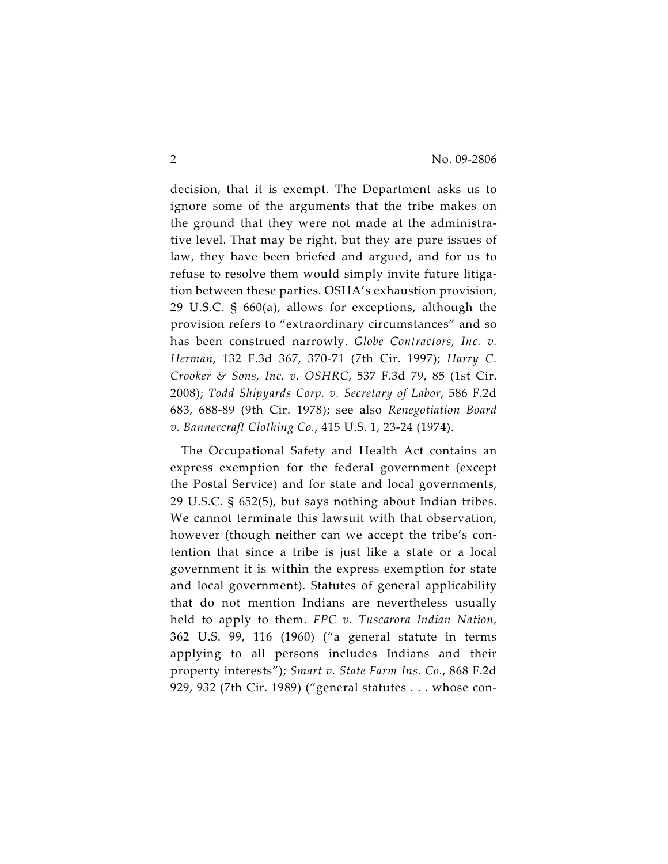decision, that it is exempt. The Department asks us to ignore some of the arguments that the tribe makes on the ground that they were not made at the administrative level. That may be right, but they are pure issues of law, they have been briefed and argued, and for us to refuse to resolve them would simply invite future litigation between these parties. OSHA's exhaustion provision, 29 U.S.C. § 660(a), allows for exceptions, although the provision refers to "extraordinary circumstances" and so has been construed narrowly. *Globe Contractors, Inc. v. Herman*, 132 F.3d 367, 370-71 (7th Cir. 1997); *Harry C. Crooker & Sons, Inc. v. OSHRC*, 537 F.3d 79, 85 (1st Cir. 2008); *Todd Shipyards Corp. v. Secretary of Labor*, 586 F.2d 683, 688-89 (9th Cir. 1978); see also *Renegotiation Board v. Bannercraft Clothing Co.*, 415 U.S. 1, 23-24 (1974).

The Occupational Safety and Health Act contains an express exemption for the federal government (except the Postal Service) and for state and local governments, 29 U.S.C. § 652(5), but says nothing about Indian tribes. We cannot terminate this lawsuit with that observation, however (though neither can we accept the tribe's contention that since a tribe is just like a state or a local government it is within the express exemption for state and local government). Statutes of general applicability that do not mention Indians are nevertheless usually held to apply to them. *FPC v. Tuscarora Indian Nation*, 362 U.S. 99, 116 (1960) ("a general statute in terms applying to all persons includes Indians and their property interests"); *Smart v. State Farm Ins. Co.*, 868 F.2d 929, 932 (7th Cir. 1989) ("general statutes . . . whose con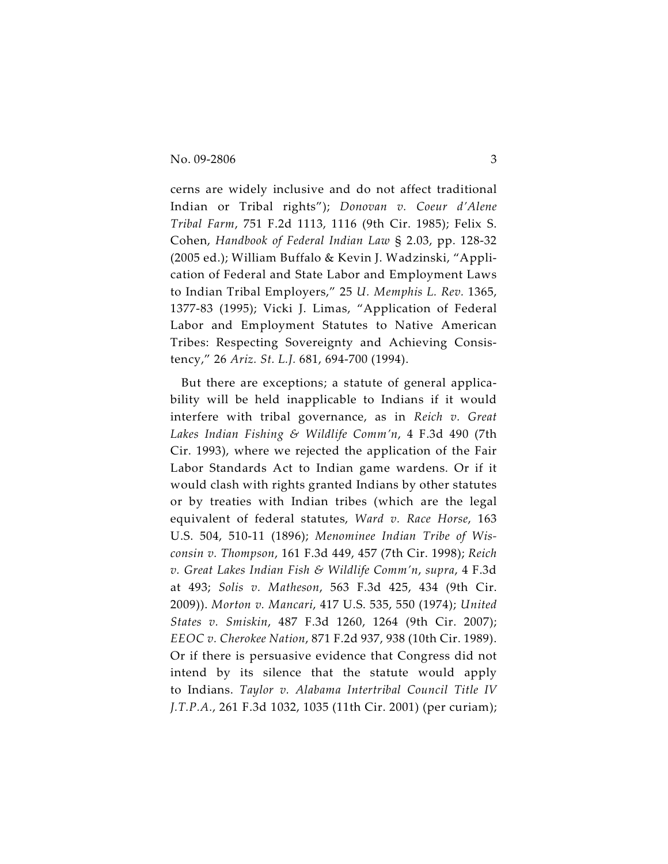cerns are widely inclusive and do not affect traditional Indian or Tribal rights"); *Donovan v. Coeur d'Alene Tribal Farm*, 751 F.2d 1113, 1116 (9th Cir. 1985); Felix S. Cohen, *Handbook of Federal Indian Law* § 2.03, pp. 128-32 (2005 ed.); William Buffalo & Kevin J. Wadzinski, "Application of Federal and State Labor and Employment Laws to Indian Tribal Employers," 25 *U. Memphis L. Rev.* 1365, 1377-83 (1995); Vicki J. Limas, "Application of Federal Labor and Employment Statutes to Native American Tribes: Respecting Sovereignty and Achieving Consistency," 26 *Ariz. St. L.J.* 681, 694-700 (1994).

But there are exceptions; a statute of general applicability will be held inapplicable to Indians if it would interfere with tribal governance, as in *Reich v. Great Lakes Indian Fishing & Wildlife Comm'n*, 4 F.3d 490 (7th Cir. 1993), where we rejected the application of the Fair Labor Standards Act to Indian game wardens. Or if it would clash with rights granted Indians by other statutes or by treaties with Indian tribes (which are the legal equivalent of federal statutes, *Ward v. Race Horse*, 163 U.S. 504, 510-11 (1896); *Menominee Indian Tribe of Wisconsin v. Thompson*, 161 F.3d 449, 457 (7th Cir. 1998); *Reich v. Great Lakes Indian Fish & Wildlife Comm'n*, *supra*, 4 F.3d at 493; *Solis v. Matheson*, 563 F.3d 425, 434 (9th Cir. 2009)). *Morton v. Mancari*, 417 U.S. 535, 550 (1974); *United States v. Smiskin*, 487 F.3d 1260, 1264 (9th Cir. 2007); *EEOC v. Cherokee Nation*, 871 F.2d 937, 938 (10th Cir. 1989). Or if there is persuasive evidence that Congress did not intend by its silence that the statute would apply to Indians. *Taylor v. Alabama Intertribal Council Title IV J.T.P.A.*, 261 F.3d 1032, 1035 (11th Cir. 2001) (per curiam);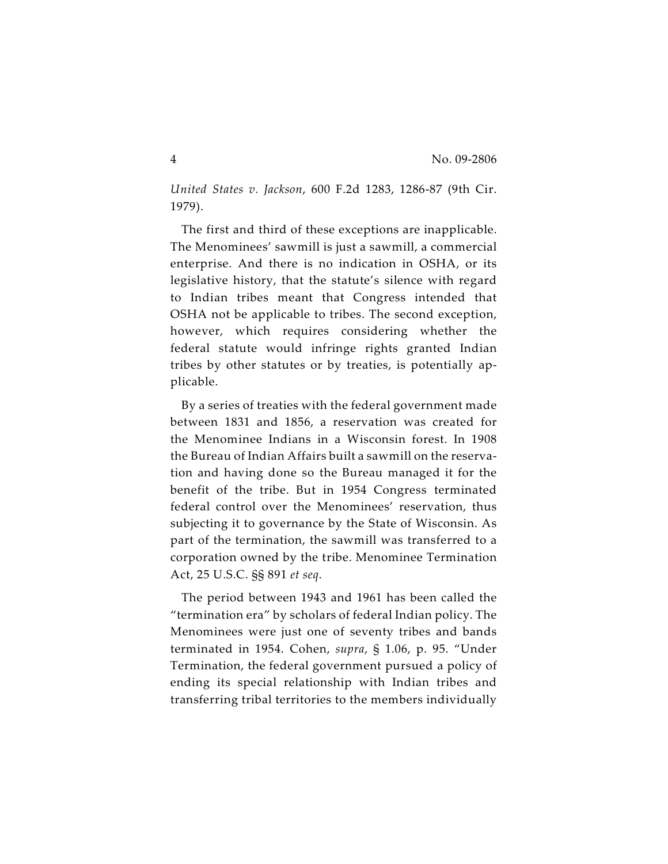*United States v. Jackson*, 600 F.2d 1283, 1286-87 (9th Cir. 1979).

The first and third of these exceptions are inapplicable. The Menominees' sawmill is just a sawmill, a commercial enterprise. And there is no indication in OSHA, or its legislative history, that the statute's silence with regard to Indian tribes meant that Congress intended that OSHA not be applicable to tribes. The second exception, however, which requires considering whether the federal statute would infringe rights granted Indian tribes by other statutes or by treaties, is potentially applicable.

By a series of treaties with the federal government made between 1831 and 1856, a reservation was created for the Menominee Indians in a Wisconsin forest. In 1908 the Bureau of Indian Affairs built a sawmill on the reservation and having done so the Bureau managed it for the benefit of the tribe. But in 1954 Congress terminated federal control over the Menominees' reservation, thus subjecting it to governance by the State of Wisconsin. As part of the termination, the sawmill was transferred to a corporation owned by the tribe. Menominee Termination Act, 25 U.S.C. §§ 891 *et seq*.

The period between 1943 and 1961 has been called the "termination era" by scholars of federal Indian policy. The Menominees were just one of seventy tribes and bands terminated in 1954. Cohen, *supra*, § 1.06, p. 95. "Under Termination, the federal government pursued a policy of ending its special relationship with Indian tribes and transferring tribal territories to the members individually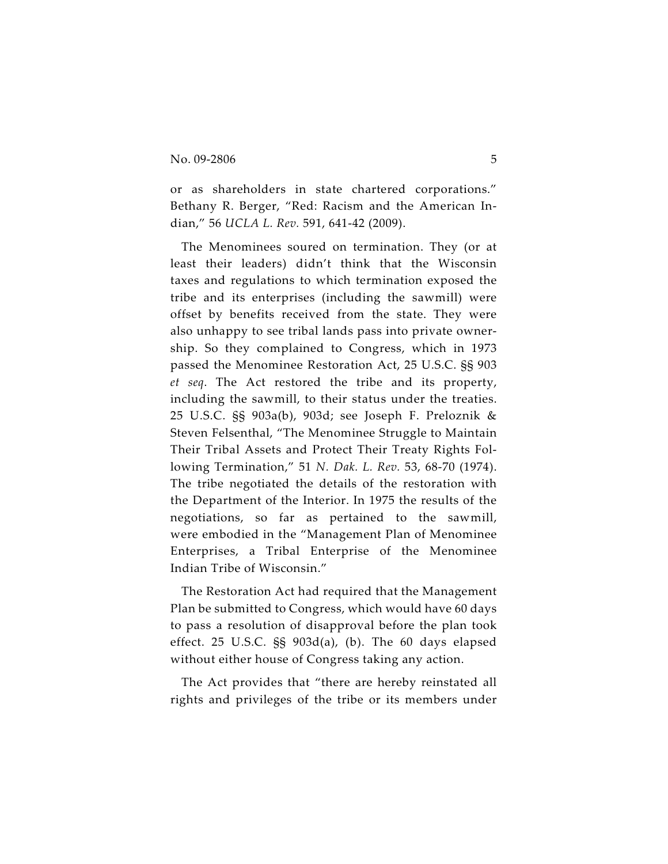or as shareholders in state chartered corporations." Bethany R. Berger, "Red: Racism and the American Indian," 56 *UCLA L. Rev.* 591, 641-42 (2009).

The Menominees soured on termination. They (or at least their leaders) didn't think that the Wisconsin taxes and regulations to which termination exposed the tribe and its enterprises (including the sawmill) were offset by benefits received from the state. They were also unhappy to see tribal lands pass into private ownership. So they complained to Congress, which in 1973 passed the Menominee Restoration Act, 25 U.S.C. §§ 903 *et seq*. The Act restored the tribe and its property, including the sawmill, to their status under the treaties. 25 U.S.C. §§ 903a(b), 903d; see Joseph F. Preloznik & Steven Felsenthal, "The Menominee Struggle to Maintain Their Tribal Assets and Protect Their Treaty Rights Following Termination," 51 *N. Dak. L. Rev.* 53, 68-70 (1974). The tribe negotiated the details of the restoration with the Department of the Interior. In 1975 the results of the negotiations, so far as pertained to the sawmill, were embodied in the "Management Plan of Menominee Enterprises, a Tribal Enterprise of the Menominee Indian Tribe of Wisconsin."

The Restoration Act had required that the Management Plan be submitted to Congress, which would have 60 days to pass a resolution of disapproval before the plan took effect. 25 U.S.C. §§ 903d(a), (b). The 60 days elapsed without either house of Congress taking any action.

The Act provides that "there are hereby reinstated all rights and privileges of the tribe or its members under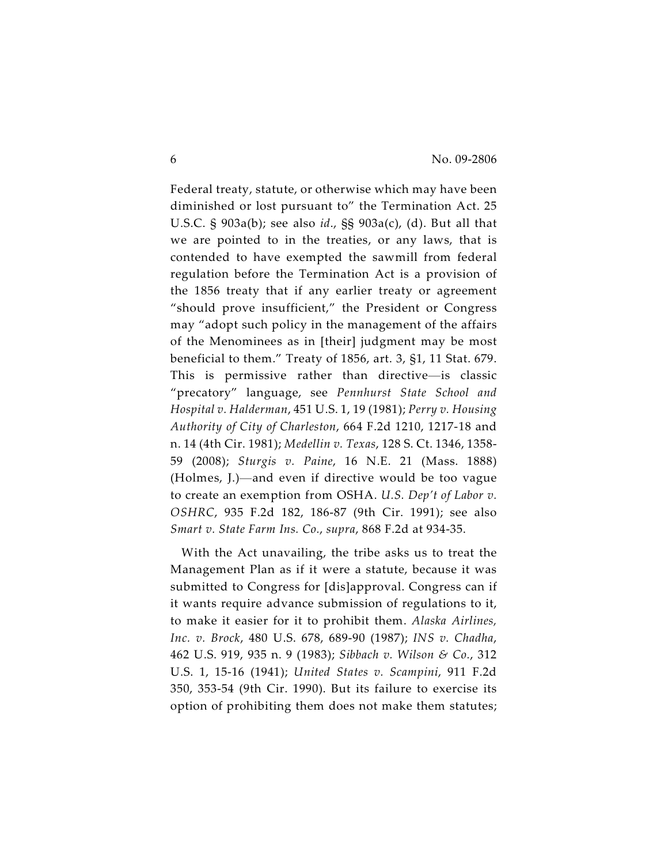Federal treaty, statute, or otherwise which may have been diminished or lost pursuant to" the Termination Act. 25 U.S.C. § 903a(b); see also *id*., §§ 903a(c), (d). But all that we are pointed to in the treaties, or any laws, that is contended to have exempted the sawmill from federal regulation before the Termination Act is a provision of the 1856 treaty that if any earlier treaty or agreement "should prove insufficient," the President or Congress may "adopt such policy in the management of the affairs of the Menominees as in [their] judgment may be most beneficial to them." Treaty of 1856, art. 3, §1, 11 Stat. 679. This is permissive rather than directive—is classic "precatory" language, see *Pennhurst State School and Hospital v. Halderman*, 451 U.S. 1, 19 (1981); *Perry v. Housing Authority of City of Charleston*, 664 F.2d 1210, 1217-18 and n. 14 (4th Cir. 1981); *Medellin v. Texas*, 128 S. Ct. 1346, 1358- 59 (2008); *Sturgis v. Paine*, 16 N.E. 21 (Mass. 1888) (Holmes, J.)—and even if directive would be too vague to create an exemption from OSHA. *U.S. Dep't of Labor v. OSHRC*, 935 F.2d 182, 186-87 (9th Cir. 1991); see also *Smart v. State Farm Ins. Co.*, *supra*, 868 F.2d at 934-35.

With the Act unavailing, the tribe asks us to treat the Management Plan as if it were a statute, because it was submitted to Congress for [dis]approval. Congress can if it wants require advance submission of regulations to it, to make it easier for it to prohibit them. *Alaska Airlines, Inc. v. Brock*, 480 U.S. 678, 689-90 (1987); *INS v. Chadha*, 462 U.S. 919, 935 n. 9 (1983); *Sibbach v. Wilson & Co.*, 312 U.S. 1, 15-16 (1941); *United States v. Scampini*, 911 F.2d 350, 353-54 (9th Cir. 1990). But its failure to exercise its option of prohibiting them does not make them statutes;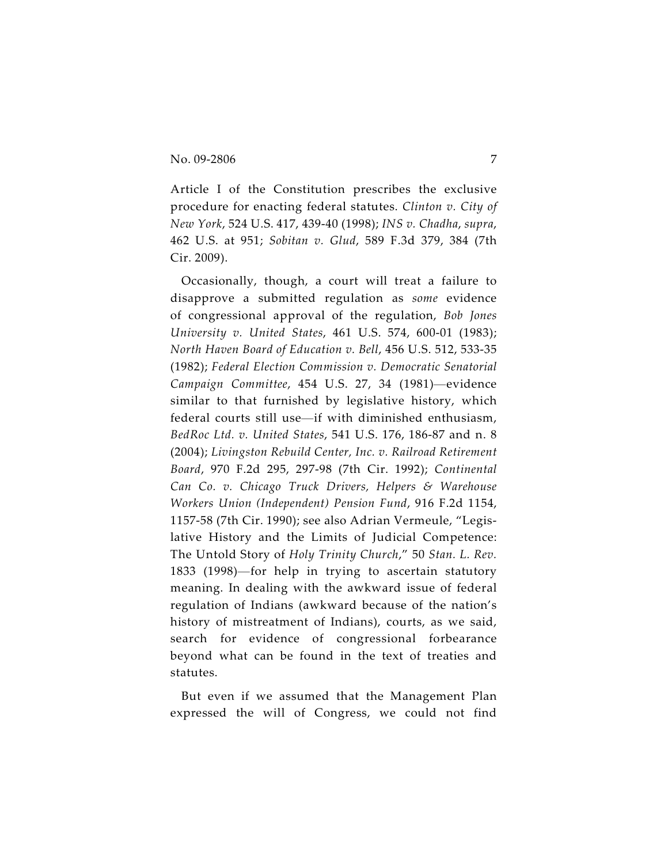Article I of the Constitution prescribes the exclusive procedure for enacting federal statutes. *Clinton v. City of New York*, 524 U.S. 417, 439-40 (1998); *INS v. Chadha*, *supra*, 462 U.S. at 951; *Sobitan v. Glud*, 589 F.3d 379, 384 (7th Cir. 2009).

Occasionally, though, a court will treat a failure to disapprove a submitted regulation as *some* evidence of congressional approval of the regulation, *Bob Jones University v. United States*, 461 U.S. 574, 600-01 (1983); *North Haven Board of Education v. Bell*, 456 U.S. 512, 533-35 (1982); *Federal Election Commission v. Democratic Senatorial Campaign Committee*, 454 U.S. 27, 34 (1981)—evidence similar to that furnished by legislative history, which federal courts still use—if with diminished enthusiasm, *BedRoc Ltd. v. United States*, 541 U.S. 176, 186-87 and n. 8 (2004); *Livingston Rebuild Center, Inc. v. Railroad Retirement Board*, 970 F.2d 295, 297-98 (7th Cir. 1992); *Continental Can Co. v. Chicago Truck Drivers, Helpers & Warehouse Workers Union (Independent) Pension Fund*, 916 F.2d 1154, 1157-58 (7th Cir. 1990); see also Adrian Vermeule, "Legislative History and the Limits of Judicial Competence: The Untold Story of *Holy Trinity Church*," 50 *Stan. L. Rev.* 1833 (1998)—for help in trying to ascertain statutory meaning. In dealing with the awkward issue of federal regulation of Indians (awkward because of the nation's history of mistreatment of Indians), courts, as we said, search for evidence of congressional forbearance beyond what can be found in the text of treaties and statutes.

But even if we assumed that the Management Plan expressed the will of Congress, we could not find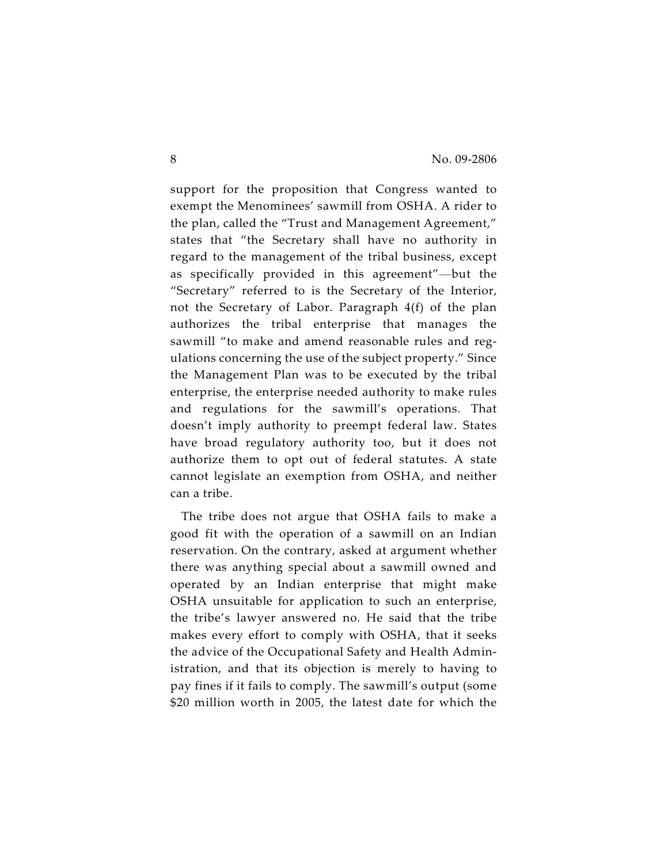support for the proposition that Congress wanted to exempt the Menominees' sawmill from OSHA. A rider to the plan, called the "Trust and Management Agreement," states that "the Secretary shall have no authority in regard to the management of the tribal business, except as specifically provided in this agreement"—but the "Secretary" referred to is the Secretary of the Interior, not the Secretary of Labor. Paragraph 4(f) of the plan authorizes the tribal enterprise that manages the sawmill "to make and amend reasonable rules and regulations concerning the use of the subject property." Since the Management Plan was to be executed by the tribal enterprise, the enterprise needed authority to make rules and regulations for the sawmill's operations. That doesn't imply authority to preempt federal law. States have broad regulatory authority too, but it does not authorize them to opt out of federal statutes. A state cannot legislate an exemption from OSHA, and neither can a tribe.

The tribe does not argue that OSHA fails to make a good fit with the operation of a sawmill on an Indian reservation. On the contrary, asked at argument whether there was anything special about a sawmill owned and operated by an Indian enterprise that might make OSHA unsuitable for application to such an enterprise, the tribe's lawyer answered no. He said that the tribe makes every effort to comply with OSHA, that it seeks the advice of the Occupational Safety and Health Administration, and that its objection is merely to having to pay fines if it fails to comply. The sawmill's output (some \$20 million worth in 2005, the latest date for which the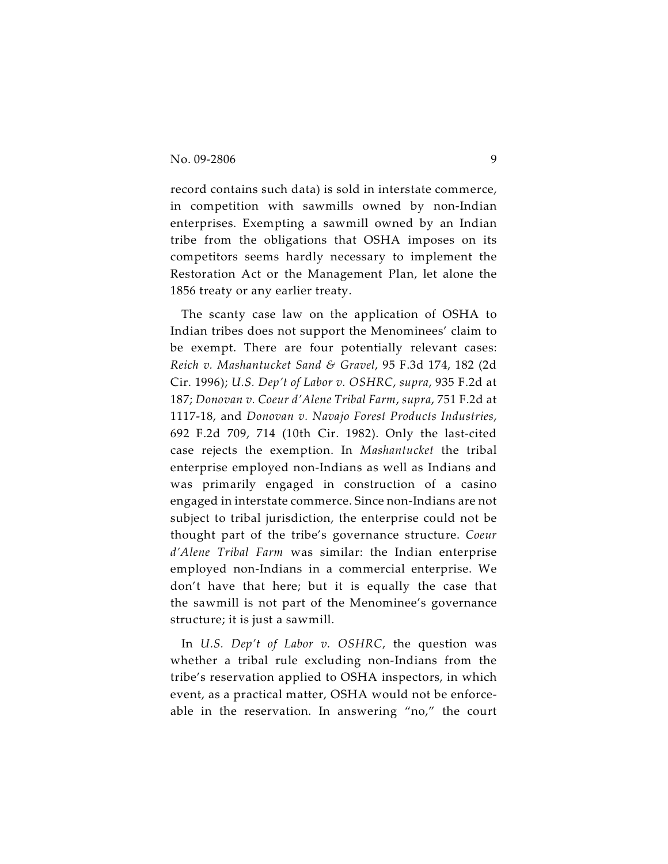record contains such data) is sold in interstate commerce, in competition with sawmills owned by non-Indian enterprises. Exempting a sawmill owned by an Indian tribe from the obligations that OSHA imposes on its competitors seems hardly necessary to implement the Restoration Act or the Management Plan, let alone the 1856 treaty or any earlier treaty.

The scanty case law on the application of OSHA to Indian tribes does not support the Menominees' claim to be exempt. There are four potentially relevant cases: *Reich v. Mashantucket Sand & Gravel*, 95 F.3d 174, 182 (2d Cir. 1996); *U.S. Dep't of Labor v. OSHRC*, *supra*, 935 F.2d at 187; *Donovan v. Coeur d'Alene Tribal Farm*, *supra*, 751 F.2d at 1117-18, and *Donovan v. Navajo Forest Products Industries*, 692 F.2d 709, 714 (10th Cir. 1982). Only the last-cited case rejects the exemption. In *Mashantucket* the tribal enterprise employed non-Indians as well as Indians and was primarily engaged in construction of a casino engaged in interstate commerce. Since non-Indians are not subject to tribal jurisdiction, the enterprise could not be thought part of the tribe's governance structure. *Coeur d'Alene Tribal Farm* was similar: the Indian enterprise employed non-Indians in a commercial enterprise. We don't have that here; but it is equally the case that the sawmill is not part of the Menominee's governance structure; it is just a sawmill.

In *U.S. Dep't of Labor v. OSHRC*, the question was whether a tribal rule excluding non-Indians from the tribe's reservation applied to OSHA inspectors, in which event, as a practical matter, OSHA would not be enforceable in the reservation. In answering "no," the court